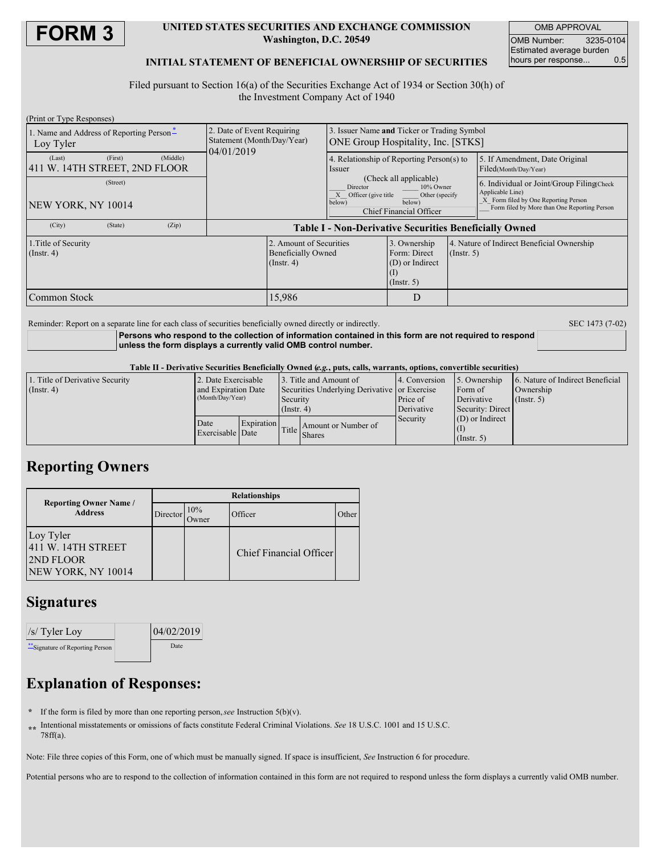

### **UNITED STATES SECURITIES AND EXCHANGE COMMISSION Washington, D.C. 20549**

OMB APPROVAL OMB Number: 3235-0104 Estimated average burden hours per response... 0.5

### **INITIAL STATEMENT OF BENEFICIAL OWNERSHIP OF SECURITIES**

Filed pursuant to Section 16(a) of the Securities Exchange Act of 1934 or Section 30(h) of the Investment Company Act of 1940

| (Print or Type Responses)                             |         |          |                                                                        |                                                                                                                                                  |                                                                                          |                                                                     |                                                                                                                                                       |                                                         |
|-------------------------------------------------------|---------|----------|------------------------------------------------------------------------|--------------------------------------------------------------------------------------------------------------------------------------------------|------------------------------------------------------------------------------------------|---------------------------------------------------------------------|-------------------------------------------------------------------------------------------------------------------------------------------------------|---------------------------------------------------------|
| 1. Name and Address of Reporting Person-<br>Loy Tyler |         |          | 2. Date of Event Requiring<br>Statement (Month/Day/Year)<br>04/01/2019 |                                                                                                                                                  | 3. Issuer Name and Ticker or Trading Symbol<br><b>ONE Group Hospitality, Inc. [STKS]</b> |                                                                     |                                                                                                                                                       |                                                         |
| (Last)<br>411 W. 14TH STREET, 2ND FLOOR               | (First) | (Middle) |                                                                        |                                                                                                                                                  | Issuer                                                                                   | 4. Relationship of Reporting Person(s) to                           |                                                                                                                                                       | 5. If Amendment, Date Original<br>Filed(Month/Day/Year) |
| (Street)<br>NEW YORK, NY 10014                        |         |          |                                                                        | (Check all applicable)<br>Director<br>10% Owner<br>X Officer (give title<br>Other (specify<br>below)<br>below)<br><b>Chief Financial Officer</b> |                                                                                          |                                                                     | 6. Individual or Joint/Group Filing Check<br>Applicable Line)<br>X Form filed by One Reporting Person<br>Form filed by More than One Reporting Person |                                                         |
| (City)                                                | (State) | (Zip)    |                                                                        | <b>Table I - Non-Derivative Securities Beneficially Owned</b>                                                                                    |                                                                                          |                                                                     |                                                                                                                                                       |                                                         |
| 1. Title of Security<br>$($ Instr. 4 $)$              |         |          |                                                                        | 2. Amount of Securities<br><b>Beneficially Owned</b><br>$($ Instr. 4 $)$                                                                         |                                                                                          | 3. Ownership<br>Form: Direct<br>(D) or Indirect<br>$($ Instr. 5 $)$ | $($ Instr. 5 $)$                                                                                                                                      | 4. Nature of Indirect Beneficial Ownership              |
| Common Stock                                          |         |          |                                                                        | 15,986                                                                                                                                           |                                                                                          | D                                                                   |                                                                                                                                                       |                                                         |

Reminder: Report on a separate line for each class of securities beneficially owned directly or indirectly. SEC 1473 (7-02)

**Persons who respond to the collection of information contained in this form are not required to respond unless the form displays a currently valid OMB control number.**

#### Table II - Derivative Securities Beneficially Owned (e.g., puts, calls, warrants, options, convertible securities)

| 1. Title of Derivative Security | 2. Date Exercisable |            |                                              | 3. Title and Amount of              | 4. Conversion                                            | 5. Ownership      | 6. Nature of Indirect Beneficial |
|---------------------------------|---------------------|------------|----------------------------------------------|-------------------------------------|----------------------------------------------------------|-------------------|----------------------------------|
| $($ Instr. 4 $)$                | and Expiration Date |            | Securities Underlying Derivative or Exercise |                                     |                                                          | Form of           | Ownership                        |
|                                 | (Month/Day/Year)    |            | Security<br>$($ Instr. 4)                    |                                     | Price of<br>Derivative<br>Derivative<br>Security: Direct | $($ Instr. 5)     |                                  |
|                                 |                     |            |                                              |                                     |                                                          |                   |                                  |
|                                 | Date                | Expiration |                                              |                                     | Security                                                 | $(D)$ or Indirect |                                  |
|                                 | Exercisable Date    |            |                                              | Amount or Number of<br>Title Shares |                                                          |                   |                                  |
|                                 |                     |            |                                              |                                     |                                                          | $($ Instr. 5 $)$  |                                  |

## **Reporting Owners**

| <b>Reporting Owner Name /</b>                                             | <b>Relationships</b> |                     |                         |       |  |  |
|---------------------------------------------------------------------------|----------------------|---------------------|-------------------------|-------|--|--|
| <b>Address</b>                                                            | Director             | 10%<br><b>Dwner</b> | Officer                 | Other |  |  |
| Loy Tyler<br>411 W. 14TH STREET<br><b>2ND FLOOR</b><br>NEW YORK, NY 10014 |                      |                     | Chief Financial Officer |       |  |  |

## **Signatures**

| $\sqrt{s}$ Tyler Loy             | 04/02/2019 |  |
|----------------------------------|------------|--|
| ** Signature of Reporting Person | Date       |  |

# **Explanation of Responses:**

- **\*** If the form is filed by more than one reporting person,*see* Instruction 5(b)(v).
- **\*\*** Intentional misstatements or omissions of facts constitute Federal Criminal Violations. *See* 18 U.S.C. 1001 and 15 U.S.C. 78ff(a).

Note: File three copies of this Form, one of which must be manually signed. If space is insufficient, *See* Instruction 6 for procedure.

Potential persons who are to respond to the collection of information contained in this form are not required to respond unless the form displays a currently valid OMB number.